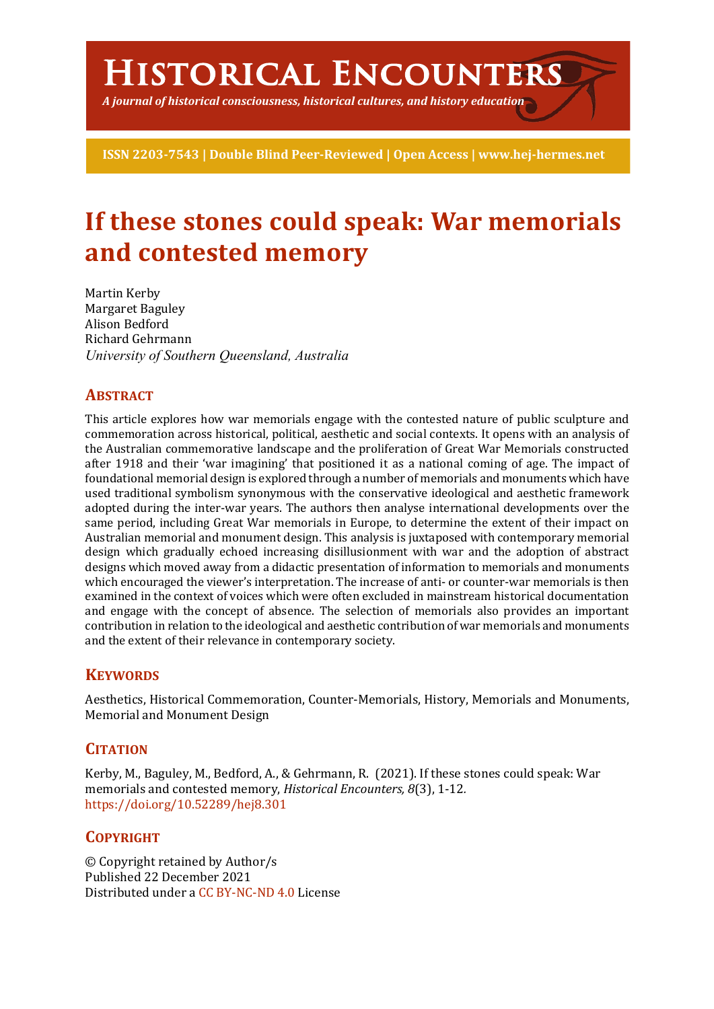# **Historical Encounters**

*A journal of historical consciousness, historical cultures, and history education*

**ISSN 2203-7543 | Double Blind Peer-Reviewed | Open Access | www.hej-hermes.net**

## **If these stones could speak: War memorials and contested memory**

Martin Kerby Margaret Baguley Alison Bedford Richard Gehrmann *University of Southern Queensland, Australia*

#### **ABSTRACT**

This article explores how war memorials engage with the contested nature of public sculpture and commemoration across historical, political, aesthetic and social contexts. It opens with an analysis of the Australian commemorative landscape and the proliferation of Great War Memorials constructed after 1918 and their 'war imagining' that positioned it as a national coming of age. The impact of foundational memorial design is explored through a number of memorials and monuments which have used traditional symbolism synonymous with the conservative ideological and aesthetic framework adopted during the inter-war years. The authors then analyse international developments over the same period, including Great War memorials in Europe, to determine the extent of their impact on Australian memorial and monument design. This analysis is juxtaposed with contemporary memorial design which gradually echoed increasing disillusionment with war and the adoption of abstract designs which moved away from a didactic presentation of information to memorials and monuments which encouraged the viewer's interpretation. The increase of anti- or counter-war memorials is then examined in the context of voices which were often excluded in mainstream historical documentation and engage with the concept of absence. The selection of memorials also provides an important contribution in relation to the ideological and aesthetic contribution of war memorials and monuments and the extent of their relevance in contemporary society.

### **KEYWORDS**

Aesthetics, Historical Commemoration, Counter-Memorials, History, Memorials and Monuments, Memorial and Monument Design

### **CITATION**

Kerby, M., Baguley, M., Bedford, A., & Gehrmann, R. (2021). If these stones could speak: War memorials and contested memory, *Historical Encounters, 8*(3), 1-12*.* https://doi.org/10.52289/hej8.301

### **COPYRIGHT**

© Copyright retained by Author/s Published 22 December 2021 Distributed under a CC BY-NC-ND 4.0 License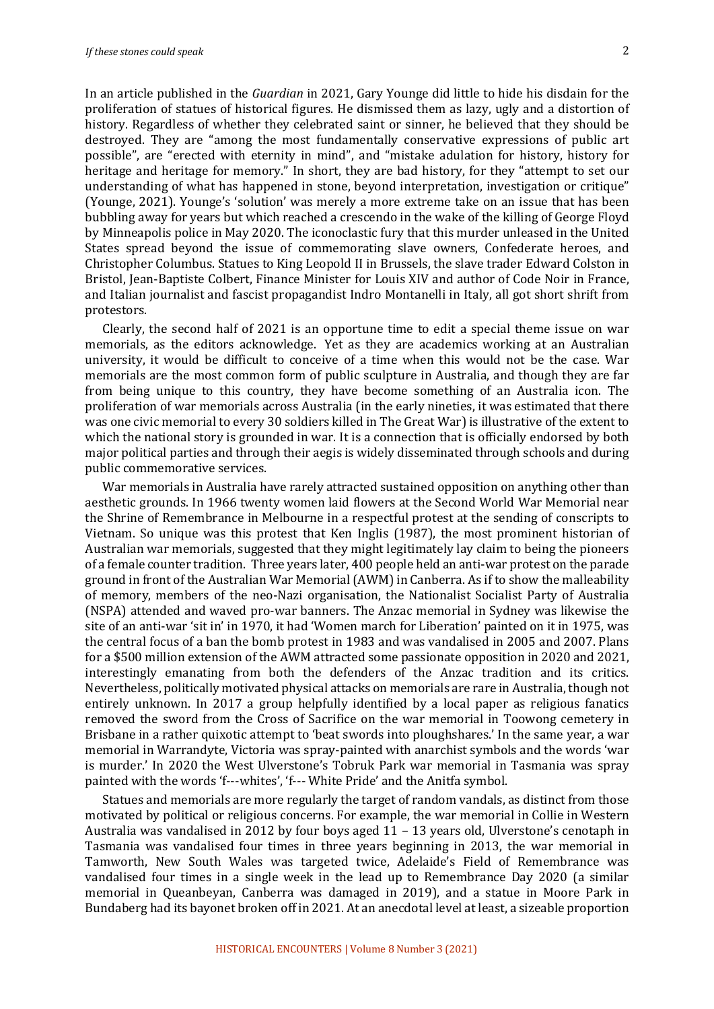In an article published in the *Guardian* in 2021, Gary Younge did little to hide his disdain for the proliferation of statues of historical figures. He dismissed them as lazy, ugly and a distortion of history. Regardless of whether they celebrated saint or sinner, he believed that they should be destroyed. They are "among the most fundamentally conservative expressions of public art possible", are "erected with eternity in mind", and "mistake adulation for history, history for heritage and heritage for memory." In short, they are bad history, for they "attempt to set our understanding of what has happened in stone, beyond interpretation, investigation or critique" (Younge, 2021). Younge's 'solution' was merely a more extreme take on an issue that has been bubbling away for years but which reached a crescendo in the wake of the killing of George Floyd by Minneapolis police in May 2020. The iconoclastic fury that this murder unleased in the United States spread beyond the issue of commemorating slave owners, Confederate heroes, and Christopher Columbus. Statues to King Leopold II in Brussels, the slave trader Edward Colston in Bristol, Jean-Baptiste Colbert, Finance Minister for Louis XIV and author of Code Noir in France, and Italian journalist and fascist propagandist Indro Montanelli in Italy, all got short shrift from protestors.

Clearly, the second half of 2021 is an opportune time to edit a special theme issue on war memorials, as the editors acknowledge. Yet as they are academics working at an Australian university, it would be difficult to conceive of a time when this would not be the case. War memorials are the most common form of public sculpture in Australia, and though they are far from being unique to this country, they have become something of an Australia icon. The proliferation of war memorials across Australia (in the early nineties, it was estimated that there was one civic memorial to every 30 soldiers killed in The Great War) is illustrative of the extent to which the national story is grounded in war. It is a connection that is officially endorsed by both major political parties and through their aegis is widely disseminated through schools and during public commemorative services.

War memorials in Australia have rarely attracted sustained opposition on anything other than aesthetic grounds. In 1966 twenty women laid flowers at the Second World War Memorial near the Shrine of Remembrance in Melbourne in a respectful protest at the sending of conscripts to Vietnam. So unique was this protest that Ken Inglis (1987), the most prominent historian of Australian war memorials, suggested that they might legitimately lay claim to being the pioneers of a female counter tradition. Three years later, 400 people held an anti-war protest on the parade ground in front of the Australian War Memorial (AWM) in Canberra. As if to show the malleability of memory, members of the neo-Nazi organisation, the Nationalist Socialist Party of Australia (NSPA) attended and waved pro-war banners. The Anzac memorial in Sydney was likewise the site of an anti-war 'sit in' in 1970, it had 'Women march for Liberation' painted on it in 1975, was the central focus of a ban the bomb protest in 1983 and was vandalised in 2005 and 2007. Plans for a \$500 million extension of the AWM attracted some passionate opposition in 2020 and 2021, interestingly emanating from both the defenders of the Anzac tradition and its critics. Nevertheless, politically motivated physical attacks on memorials are rare in Australia, though not entirely unknown. In 2017 a group helpfully identified by a local paper as religious fanatics removed the sword from the Cross of Sacrifice on the war memorial in Toowong cemetery in Brisbane in a rather quixotic attempt to 'beat swords into ploughshares.' In the same year, a war memorial in Warrandyte, Victoria was spray-painted with anarchist symbols and the words 'war is murder.' In 2020 the West Ulverstone's Tobruk Park war memorial in Tasmania was spray painted with the words 'f---whites', 'f--- White Pride' and the Anitfa symbol.

Statues and memorials are more regularly the target of random vandals, as distinct from those motivated by political or religious concerns. For example, the war memorial in Collie in Western Australia was vandalised in 2012 by four boys aged  $11 - 13$  years old, Ulverstone's cenotaph in Tasmania was vandalised four times in three years beginning in 2013, the war memorial in Tamworth, New South Wales was targeted twice, Adelaide's Field of Remembrance was vandalised four times in a single week in the lead up to Remembrance Day 2020 (a similar memorial in Queanbeyan, Canberra was damaged in 2019), and a statue in Moore Park in Bundaberg had its bayonet broken off in 2021. At an anecdotal level at least, a sizeable proportion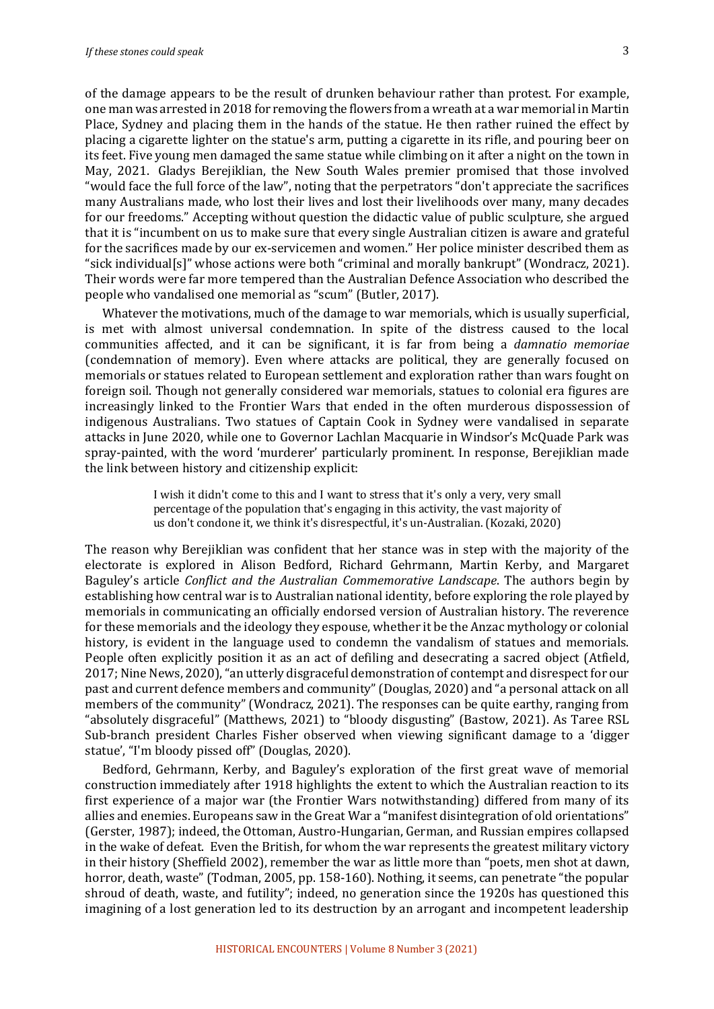of the damage appears to be the result of drunken behaviour rather than protest. For example, one man was arrested in 2018 for removing the flowers from a wreath at a war memorial in Martin Place, Sydney and placing them in the hands of the statue. He then rather ruined the effect by placing a cigarette lighter on the statue's arm, putting a cigarette in its rifle, and pouring beer on its feet. Five young men damaged the same statue while climbing on it after a night on the town in May, 2021. Gladys Berejiklian, the New South Wales premier promised that those involved "would face the full force of the law", noting that the perpetrators "don't appreciate the sacrifices many Australians made, who lost their lives and lost their livelihoods over many, many decades for our freedoms." Accepting without question the didactic value of public sculpture, she argued that it is "incumbent on us to make sure that every single Australian citizen is aware and grateful for the sacrifices made by our ex-servicemen and women." Her police minister described them as "sick individual[s]" whose actions were both "criminal and morally bankrupt" (Wondracz, 2021). Their words were far more tempered than the Australian Defence Association who described the people who vandalised one memorial as "scum" (Butler, 2017).

Whatever the motivations, much of the damage to war memorials, which is usually superficial, is met with almost universal condemnation. In spite of the distress caused to the local communities affected, and it can be significant, it is far from being a *damnatio memoriae* (condemnation of memory). Even where attacks are political, they are generally focused on memorials or statues related to European settlement and exploration rather than wars fought on foreign soil. Though not generally considered war memorials, statues to colonial era figures are increasingly linked to the Frontier Wars that ended in the often murderous dispossession of indigenous Australians. Two statues of Captain Cook in Sydney were vandalised in separate attacks in June 2020, while one to Governor Lachlan Macquarie in Windsor's McQuade Park was spray-painted, with the word 'murderer' particularly prominent. In response, Berejiklian made the link between history and citizenship explicit:

> I wish it didn't come to this and I want to stress that it's only a very, very small percentage of the population that's engaging in this activity, the vast majority of us don't condone it, we think it's disrespectful, it's un-Australian. (Kozaki, 2020)

The reason why Berejiklian was confident that her stance was in step with the majority of the electorate is explored in Alison Bedford, Richard Gehrmann, Martin Kerby, and Margaret Baguley's article *Conflict and the Australian Commemorative Landscape*. The authors begin by establishing how central war is to Australian national identity, before exploring the role played by memorials in communicating an officially endorsed version of Australian history. The reverence for these memorials and the ideology they espouse, whether it be the Anzac mythology or colonial history, is evident in the language used to condemn the vandalism of statues and memorials. People often explicitly position it as an act of defiling and desecrating a sacred object (Atfield, 2017; Nine News, 2020), "an utterly disgraceful demonstration of contempt and disrespect for our past and current defence members and community" (Douglas, 2020) and "a personal attack on all members of the community" (Wondracz, 2021). The responses can be quite earthy, ranging from "absolutely disgraceful" (Matthews, 2021) to "bloody disgusting" (Bastow, 2021). As Taree RSL Sub-branch president Charles Fisher observed when viewing significant damage to a 'digger statue', "I'm bloody pissed off" (Douglas, 2020).

Bedford, Gehrmann, Kerby, and Baguley's exploration of the first great wave of memorial construction immediately after 1918 highlights the extent to which the Australian reaction to its first experience of a major war (the Frontier Wars notwithstanding) differed from many of its allies and enemies. Europeans saw in the Great War a "manifest disintegration of old orientations" (Gerster, 1987); indeed, the Ottoman, Austro-Hungarian, German, and Russian empires collapsed in the wake of defeat. Even the British, for whom the war represents the greatest military victory in their history (Sheffield 2002), remember the war as little more than "poets, men shot at dawn, horror, death, waste" (Todman, 2005, pp. 158-160). Nothing, it seems, can penetrate "the popular shroud of death, waste, and futility"; indeed, no generation since the 1920s has questioned this imagining of a lost generation led to its destruction by an arrogant and incompetent leadership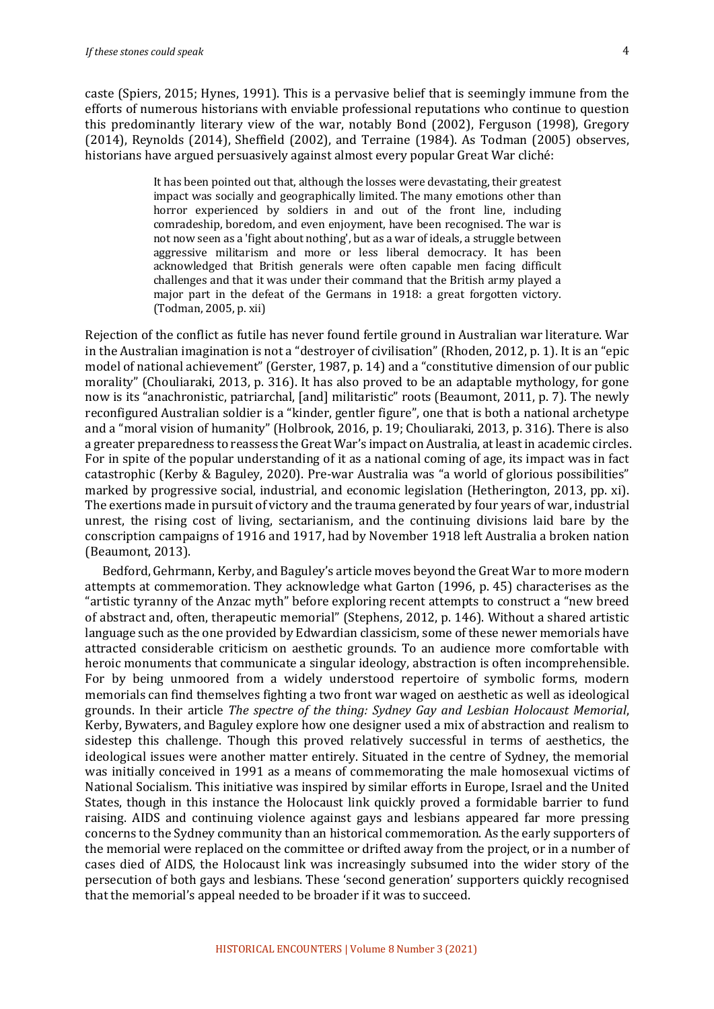caste (Spiers, 2015; Hynes, 1991). This is a pervasive belief that is seemingly immune from the efforts of numerous historians with enviable professional reputations who continue to question this predominantly literary view of the war, notably Bond (2002), Ferguson (1998), Gregory  $(2014)$ , Reynolds  $(2014)$ , Sheffield  $(2002)$ , and Terraine  $(1984)$ . As Todman  $(2005)$  observes, historians have argued persuasively against almost every popular Great War cliché:

> It has been pointed out that, although the losses were devastating, their greatest impact was socially and geographically limited. The many emotions other than horror experienced by soldiers in and out of the front line, including comradeship, boredom, and even enjoyment, have been recognised. The war is not now seen as a 'fight about nothing', but as a war of ideals, a struggle between aggressive militarism and more or less liberal democracy. It has been acknowledged that British generals were often capable men facing difficult challenges and that it was under their command that the British army played a major part in the defeat of the Germans in 1918: a great forgotten victory. (Todman, 2005, p. xii)

Rejection of the conflict as futile has never found fertile ground in Australian war literature. War in the Australian imagination is not a "destroyer of civilisation" (Rhoden, 2012, p. 1). It is an "epic model of national achievement" (Gerster, 1987, p. 14) and a "constitutive dimension of our public morality" (Chouliaraki, 2013, p. 316). It has also proved to be an adaptable mythology, for gone now is its "anachronistic, patriarchal, [and] militaristic" roots (Beaumont, 2011, p. 7). The newly reconfigured Australian soldier is a "kinder, gentler figure", one that is both a national archetype and a "moral vision of humanity" (Holbrook, 2016, p. 19; Chouliaraki, 2013, p. 316). There is also a greater preparedness to reassess the Great War's impact on Australia, at least in academic circles. For in spite of the popular understanding of it as a national coming of age, its impact was in fact catastrophic (Kerby & Baguley, 2020). Pre-war Australia was "a world of glorious possibilities" marked by progressive social, industrial, and economic legislation (Hetherington, 2013, pp. xi). The exertions made in pursuit of victory and the trauma generated by four years of war, industrial unrest, the rising cost of living, sectarianism, and the continuing divisions laid bare by the conscription campaigns of 1916 and 1917, had by November 1918 left Australia a broken nation (Beaumont, 2013).

Bedford, Gehrmann, Kerby, and Baguley's article moves beyond the Great War to more modern attempts at commemoration. They acknowledge what Garton (1996, p. 45) characterises as the "artistic tyranny of the Anzac myth" before exploring recent attempts to construct a "new breed of abstract and, often, therapeutic memorial" (Stephens, 2012, p. 146). Without a shared artistic language such as the one provided by Edwardian classicism, some of these newer memorials have attracted considerable criticism on aesthetic grounds. To an audience more comfortable with heroic monuments that communicate a singular ideology, abstraction is often incomprehensible. For by being unmoored from a widely understood repertoire of symbolic forms, modern memorials can find themselves fighting a two front war waged on aesthetic as well as ideological grounds. In their article *The spectre of the thing: Sydney Gay and Lesbian Holocaust Memorial*, Kerby, Bywaters, and Baguley explore how one designer used a mix of abstraction and realism to sidestep this challenge. Though this proved relatively successful in terms of aesthetics, the ideological issues were another matter entirely. Situated in the centre of Sydney, the memorial was initially conceived in 1991 as a means of commemorating the male homosexual victims of National Socialism. This initiative was inspired by similar efforts in Europe, Israel and the United States, though in this instance the Holocaust link quickly proved a formidable barrier to fund raising. AIDS and continuing violence against gays and lesbians appeared far more pressing concerns to the Sydney community than an historical commemoration. As the early supporters of the memorial were replaced on the committee or drifted away from the project, or in a number of cases died of AIDS, the Holocaust link was increasingly subsumed into the wider story of the persecution of both gays and lesbians. These 'second generation' supporters quickly recognised that the memorial's appeal needed to be broader if it was to succeed.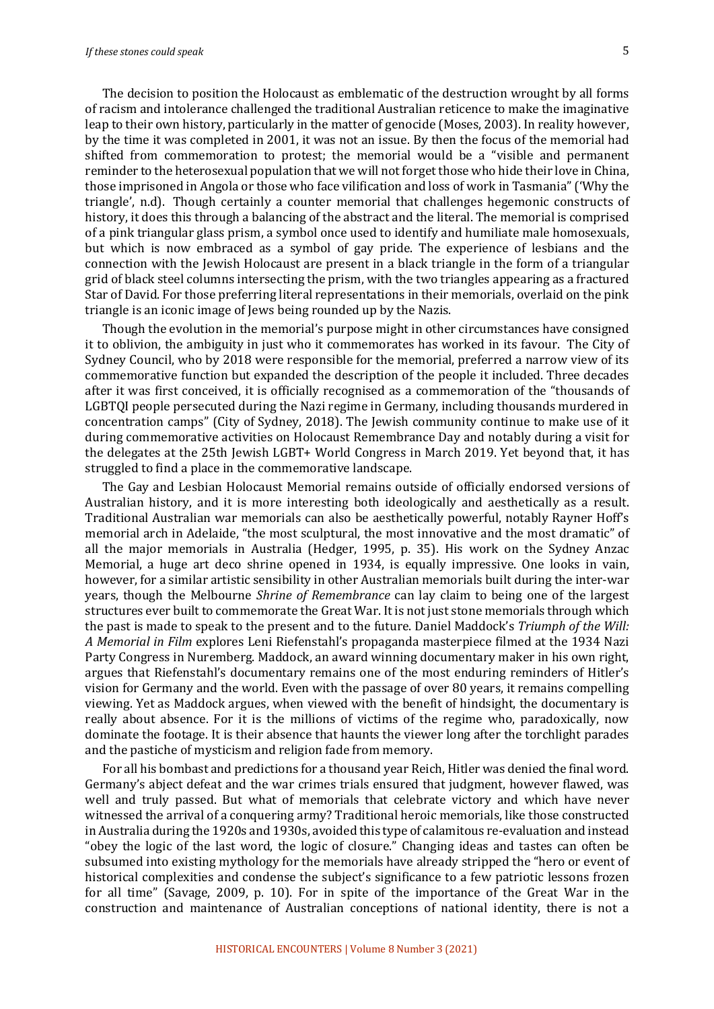The decision to position the Holocaust as emblematic of the destruction wrought by all forms of racism and intolerance challenged the traditional Australian reticence to make the imaginative leap to their own history, particularly in the matter of genocide (Moses, 2003). In reality however, by the time it was completed in 2001, it was not an issue. By then the focus of the memorial had shifted from commemoration to protest; the memorial would be a "visible and permanent reminder to the heterosexual population that we will not forget those who hide their love in China, those imprisoned in Angola or those who face vilification and loss of work in Tasmania" ('Why the triangle', n.d). Though certainly a counter memorial that challenges hegemonic constructs of history, it does this through a balancing of the abstract and the literal. The memorial is comprised of a pink triangular glass prism, a symbol once used to identify and humiliate male homosexuals, but which is now embraced as a symbol of gay pride. The experience of lesbians and the connection with the Jewish Holocaust are present in a black triangle in the form of a triangular grid of black steel columns intersecting the prism, with the two triangles appearing as a fractured Star of David. For those preferring literal representations in their memorials, overlaid on the pink triangle is an iconic image of Jews being rounded up by the Nazis.

Though the evolution in the memorial's purpose might in other circumstances have consigned it to oblivion, the ambiguity in just who it commemorates has worked in its favour. The City of Sydney Council, who by 2018 were responsible for the memorial, preferred a narrow view of its commemorative function but expanded the description of the people it included. Three decades after it was first conceived, it is officially recognised as a commemoration of the "thousands of LGBTQI people persecuted during the Nazi regime in Germany, including thousands murdered in concentration camps" (City of Sydney, 2018). The Jewish community continue to make use of it during commemorative activities on Holocaust Remembrance Day and notably during a visit for the delegates at the 25th Jewish LGBT+ World Congress in March 2019. Yet beyond that, it has struggled to find a place in the commemorative landscape.

The Gay and Lesbian Holocaust Memorial remains outside of officially endorsed versions of Australian history, and it is more interesting both ideologically and aesthetically as a result. Traditional Australian war memorials can also be aesthetically powerful, notably Rayner Hoff's memorial arch in Adelaide, "the most sculptural, the most innovative and the most dramatic" of all the major memorials in Australia (Hedger, 1995, p. 35). His work on the Sydney Anzac Memorial, a huge art deco shrine opened in 1934, is equally impressive. One looks in vain, however, for a similar artistic sensibility in other Australian memorials built during the inter-war years, though the Melbourne *Shrine of Remembrance* can lay claim to being one of the largest structures ever built to commemorate the Great War. It is not just stone memorials through which the past is made to speak to the present and to the future. Daniel Maddock's *Triumph of the Will: A Memorial* in Film explores Leni Riefenstahl's propaganda masterpiece filmed at the 1934 Nazi Party Congress in Nuremberg. Maddock, an award winning documentary maker in his own right, argues that Riefenstahl's documentary remains one of the most enduring reminders of Hitler's vision for Germany and the world. Even with the passage of over 80 years, it remains compelling viewing. Yet as Maddock argues, when viewed with the benefit of hindsight, the documentary is really about absence. For it is the millions of victims of the regime who, paradoxically, now dominate the footage. It is their absence that haunts the viewer long after the torchlight parades and the pastiche of mysticism and religion fade from memory.

For all his bombast and predictions for a thousand year Reich, Hitler was denied the final word. Germany's abject defeat and the war crimes trials ensured that judgment, however flawed, was well and truly passed. But what of memorials that celebrate victory and which have never witnessed the arrival of a conquering army? Traditional heroic memorials, like those constructed in Australia during the 1920s and 1930s, avoided this type of calamitous re-evaluation and instead "obey the logic of the last word, the logic of closure." Changing ideas and tastes can often be subsumed into existing mythology for the memorials have already stripped the "hero or event of historical complexities and condense the subject's significance to a few patriotic lessons frozen for all time" (Savage, 2009, p. 10). For in spite of the importance of the Great War in the construction and maintenance of Australian conceptions of national identity, there is not a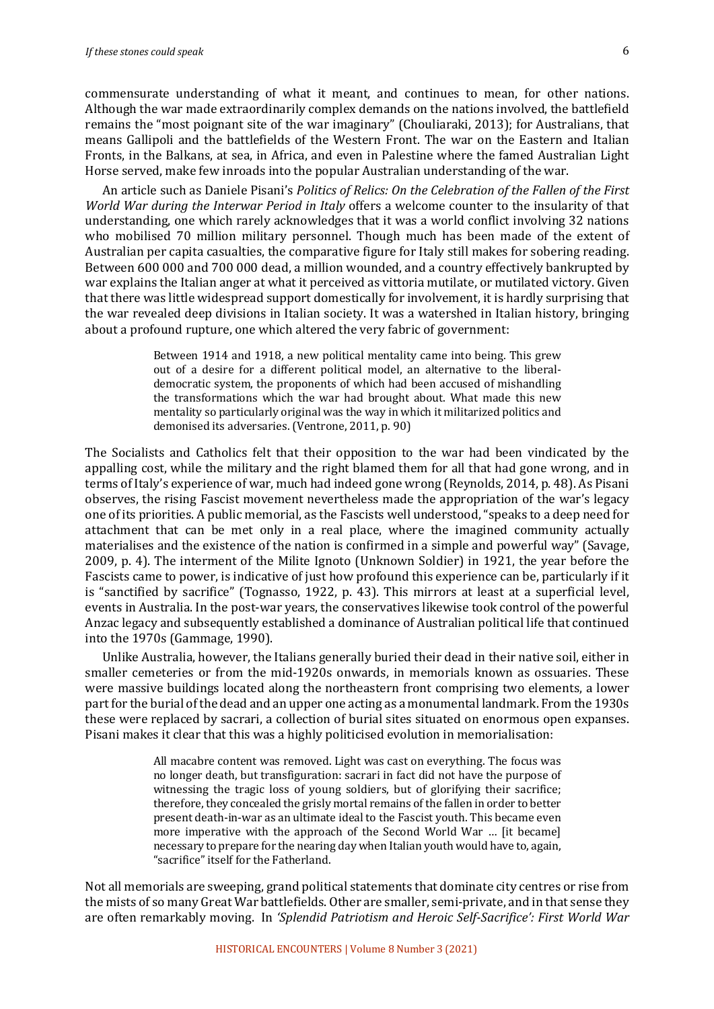commensurate understanding of what it meant, and continues to mean, for other nations. Although the war made extraordinarily complex demands on the nations involved, the battlefield remains the "most poignant site of the war imaginary" (Chouliaraki, 2013); for Australians, that means Gallipoli and the battlefields of the Western Front. The war on the Eastern and Italian Fronts, in the Balkans, at sea, in Africa, and even in Palestine where the famed Australian Light Horse served, make few inroads into the popular Australian understanding of the war.

An article such as Daniele Pisani's *Politics of Relics: On the Celebration of the Fallen of the First World War during the Interwar Period in Italy* offers a welcome counter to the insularity of that understanding, one which rarely acknowledges that it was a world conflict involving 32 nations who mobilised 70 million military personnel. Though much has been made of the extent of Australian per capita casualties, the comparative figure for Italy still makes for sobering reading. Between 600 000 and 700 000 dead, a million wounded, and a country effectively bankrupted by war explains the Italian anger at what it perceived as vittoria mutilate, or mutilated victory. Given that there was little widespread support domestically for involvement, it is hardly surprising that the war revealed deep divisions in Italian society. It was a watershed in Italian history, bringing about a profound rupture, one which altered the very fabric of government:

> Between 1914 and 1918, a new political mentality came into being. This grew out of a desire for a different political model, an alternative to the liberaldemocratic system, the proponents of which had been accused of mishandling the transformations which the war had brought about. What made this new mentality so particularly original was the way in which it militarized politics and demonised its adversaries. (Ventrone, 2011, p. 90)

The Socialists and Catholics felt that their opposition to the war had been vindicated by the appalling cost, while the military and the right blamed them for all that had gone wrong, and in terms of Italy's experience of war, much had indeed gone wrong (Reynolds, 2014, p. 48). As Pisani observes, the rising Fascist movement nevertheless made the appropriation of the war's legacy one of its priorities. A public memorial, as the Fascists well understood, "speaks to a deep need for attachment that can be met only in a real place, where the imagined community actually materialises and the existence of the nation is confirmed in a simple and powerful way" (Savage, 2009, p. 4). The interment of the Milite Ignoto (Unknown Soldier) in 1921, the vear before the Fascists came to power, is indicative of just how profound this experience can be, particularly if it is "sanctified by sacrifice" (Tognasso, 1922, p. 43). This mirrors at least at a superficial level, events in Australia. In the post-war years, the conservatives likewise took control of the powerful Anzac legacy and subsequently established a dominance of Australian political life that continued into the 1970s (Gammage, 1990).

Unlike Australia, however, the Italians generally buried their dead in their native soil, either in smaller cemeteries or from the mid-1920s onwards, in memorials known as ossuaries. These were massive buildings located along the northeastern front comprising two elements, a lower part for the burial of the dead and an upper one acting as a monumental landmark. From the 1930s these were replaced by sacrari, a collection of burial sites situated on enormous open expanses. Pisani makes it clear that this was a highly politicised evolution in memorialisation:

> All macabre content was removed. Light was cast on everything. The focus was no longer death, but transfiguration: sacrari in fact did not have the purpose of witnessing the tragic loss of young soldiers, but of glorifying their sacrifice; therefore, they concealed the grisly mortal remains of the fallen in order to better present death-in-war as an ultimate ideal to the Fascist youth. This became even more imperative with the approach of the Second World War ... [it became] necessary to prepare for the nearing day when Italian youth would have to, again, "sacrifice" itself for the Fatherland.

Not all memorials are sweeping, grand political statements that dominate city centres or rise from the mists of so many Great War battlefields. Other are smaller, semi-private, and in that sense they are often remarkably moving. In *'Splendid Patriotism and Heroic Self-Sacrifice': First World War*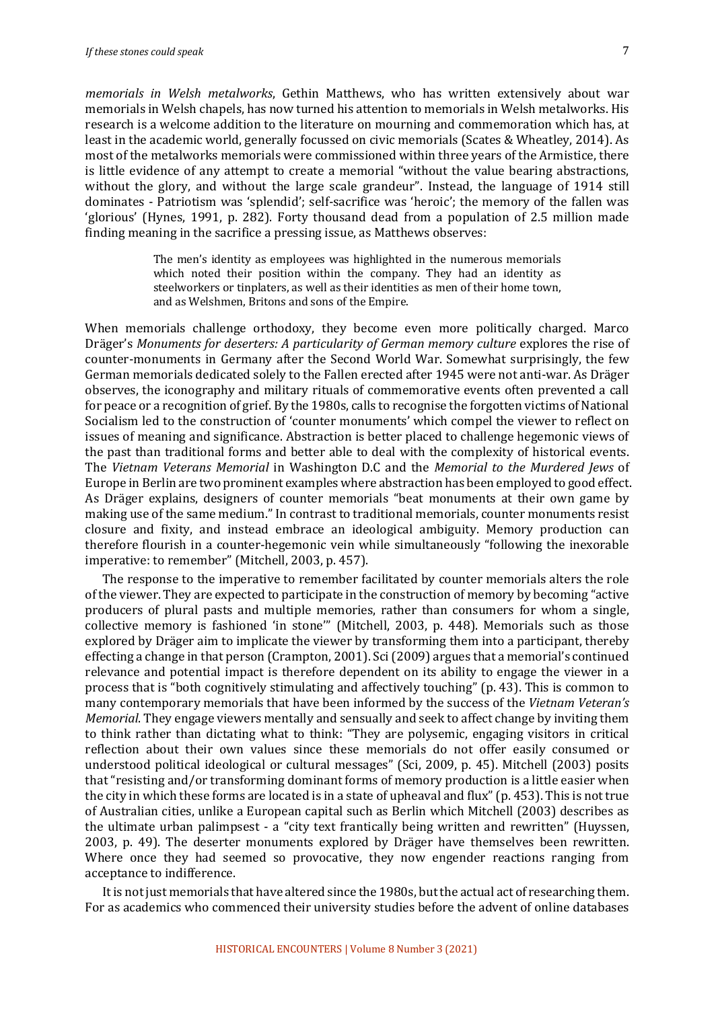*memorials in Welsh metalworks*, Gethin Matthews, who has written extensively about war memorials in Welsh chapels, has now turned his attention to memorials in Welsh metalworks. His research is a welcome addition to the literature on mourning and commemoration which has, at least in the academic world, generally focussed on civic memorials (Scates & Wheatley, 2014). As most of the metalworks memorials were commissioned within three years of the Armistice, there is little evidence of any attempt to create a memorial "without the value bearing abstractions, without the glory, and without the large scale grandeur". Instead, the language of 1914 still dominates - Patriotism was 'splendid'; self-sacrifice was 'heroic'; the memory of the fallen was 'glorious' (Hynes, 1991, p. 282). Forty thousand dead from a population of 2.5 million made finding meaning in the sacrifice a pressing issue, as Matthews observes:

> The men's identity as employees was highlighted in the numerous memorials which noted their position within the company. They had an identity as steelworkers or tinplaters, as well as their identities as men of their home town, and as Welshmen, Britons and sons of the Empire.

When memorials challenge orthodoxy, they become even more politically charged. Marco Dräger's Monuments for deserters: A particularity of German memory culture explores the rise of counter-monuments in Germany after the Second World War. Somewhat surprisingly, the few German memorials dedicated solely to the Fallen erected after 1945 were not anti-war. As Dräger observes, the iconography and military rituals of commemorative events often prevented a call for peace or a recognition of grief. By the 1980s, calls to recognise the forgotten victims of National Socialism led to the construction of 'counter monuments' which compel the viewer to reflect on issues of meaning and significance. Abstraction is better placed to challenge hegemonic views of the past than traditional forms and better able to deal with the complexity of historical events. The Vietnam Veterans Memorial in Washington D.C and the *Memorial to the Murdered Jews* of Europe in Berlin are two prominent examples where abstraction has been employed to good effect. As Dräger explains, designers of counter memorials "beat monuments at their own game by making use of the same medium." In contrast to traditional memorials, counter monuments resist closure and fixity, and instead embrace an ideological ambiguity. Memory production can therefore flourish in a counter-hegemonic vein while simultaneously "following the inexorable imperative: to remember" (Mitchell, 2003, p. 457).

The response to the imperative to remember facilitated by counter memorials alters the role of the viewer. They are expected to participate in the construction of memory by becoming "active" producers of plural pasts and multiple memories, rather than consumers for whom a single, collective memory is fashioned 'in stone"" (Mitchell, 2003, p. 448). Memorials such as those explored by Dräger aim to implicate the viewer by transforming them into a participant, thereby effecting a change in that person (Crampton, 2001). Sci (2009) argues that a memorial's continued relevance and potential impact is therefore dependent on its ability to engage the viewer in a process that is "both cognitively stimulating and affectively touching" (p. 43). This is common to many contemporary memorials that have been informed by the success of the *Vietnam Veteran's Memorial*. They engage viewers mentally and sensually and seek to affect change by inviting them to think rather than dictating what to think: "They are polysemic, engaging visitors in critical reflection about their own values since these memorials do not offer easily consumed or understood political ideological or cultural messages" (Sci, 2009, p. 45). Mitchell (2003) posits that "resisting and/or transforming dominant forms of memory production is a little easier when the city in which these forms are located is in a state of upheaval and flux" (p. 453). This is not true of Australian cities, unlike a European capital such as Berlin which Mitchell (2003) describes as the ultimate urban palimpsest - a "city text frantically being written and rewritten" (Huyssen, 2003, p. 49). The deserter monuments explored by Dräger have themselves been rewritten. Where once they had seemed so provocative, they now engender reactions ranging from acceptance to indifference.

It is not just memorials that have altered since the 1980s, but the actual act of researching them. For as academics who commenced their university studies before the advent of online databases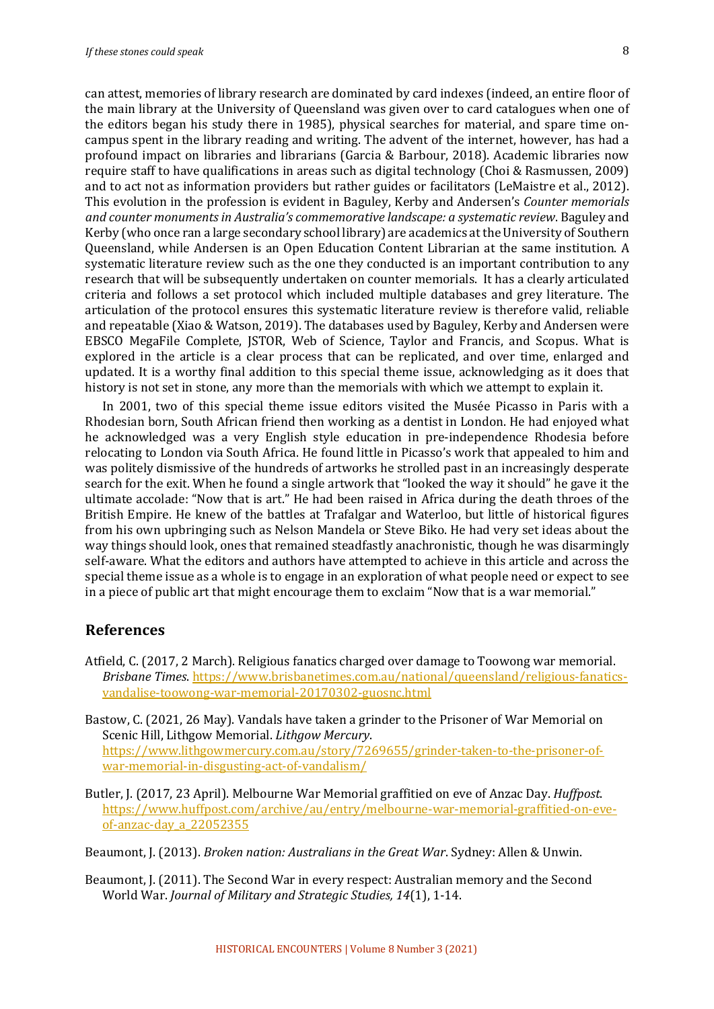8

can attest, memories of library research are dominated by card indexes (indeed, an entire floor of the main library at the University of Queensland was given over to card catalogues when one of the editors began his study there in 1985), physical searches for material, and spare time oncampus spent in the library reading and writing. The advent of the internet, however, has had a profound impact on libraries and librarians (Garcia & Barbour, 2018). Academic libraries now require staff to have qualifications in areas such as digital technology (Choi & Rasmussen, 2009) and to act not as information providers but rather guides or facilitators (LeMaistre et al., 2012). This evolution in the profession is evident in Baguley, Kerby and Andersen's *Counter memorials* and counter monuments in Australia's commemorative landscape: a systematic review. Baguley and Kerby (who once ran a large secondary school library) are academics at the University of Southern Queensland, while Andersen is an Open Education Content Librarian at the same institution. A systematic literature review such as the one they conducted is an important contribution to any research that will be subsequently undertaken on counter memorials. It has a clearly articulated criteria and follows a set protocol which included multiple databases and grey literature. The articulation of the protocol ensures this systematic literature review is therefore valid, reliable and repeatable (Xiao & Watson, 2019). The databases used by Baguley, Kerby and Andersen were EBSCO MegaFile Complete, JSTOR, Web of Science, Taylor and Francis, and Scopus. What is explored in the article is a clear process that can be replicated, and over time, enlarged and updated. It is a worthy final addition to this special theme issue, acknowledging as it does that history is not set in stone, any more than the memorials with which we attempt to explain it.

In 2001, two of this special theme issue editors visited the Musée Picasso in Paris with a Rhodesian born, South African friend then working as a dentist in London. He had enjoyed what he acknowledged was a very English style education in pre-independence Rhodesia before relocating to London via South Africa. He found little in Picasso's work that appealed to him and was politely dismissive of the hundreds of artworks he strolled past in an increasingly desperate search for the exit. When he found a single artwork that "looked the way it should" he gave it the ultimate accolade: "Now that is art." He had been raised in Africa during the death throes of the British Empire. He knew of the battles at Trafalgar and Waterloo, but little of historical figures from his own upbringing such as Nelson Mandela or Steve Biko. He had very set ideas about the way things should look, ones that remained steadfastly anachronistic, though he was disarmingly self-aware. What the editors and authors have attempted to achieve in this article and across the special theme issue as a whole is to engage in an exploration of what people need or expect to see in a piece of public art that might encourage them to exclaim "Now that is a war memorial."

#### **References**

Atfield, C. (2017, 2 March). Religious fanatics charged over damage to Toowong war memorial. *Brisbane Times.* https://www.brisbanetimes.com.au/national/queensland/religious-fanaticsvandalise-toowong-war-memorial-20170302-guosnc.html

Bastow, C. (2021, 26 May). Vandals have taken a grinder to the Prisoner of War Memorial on Scenic Hill, Lithgow Memorial. *Lithgow Mercury*. https://www.lithgowmercury.com.au/story/7269655/grinder-taken-to-the-prisoner-ofwar-memorial-in-disgusting-act-of-vandalism/

Butler, I. (2017, 23 April). Melbourne War Memorial graffitied on eve of Anzac Day. *Huffpost*. https://www.huffpost.com/archive/au/entry/melbourne-war-memorial-graffitied-on-eveof-anzac-day\_a\_22052355

Beaumont, J. (2013). *Broken nation: Australians in the Great War*. Sydney: Allen & Unwin.

Beaumont, J. (2011). The Second War in every respect: Australian memory and the Second World War. *Journal of Military and Strategic Studies*, 14(1), 1-14.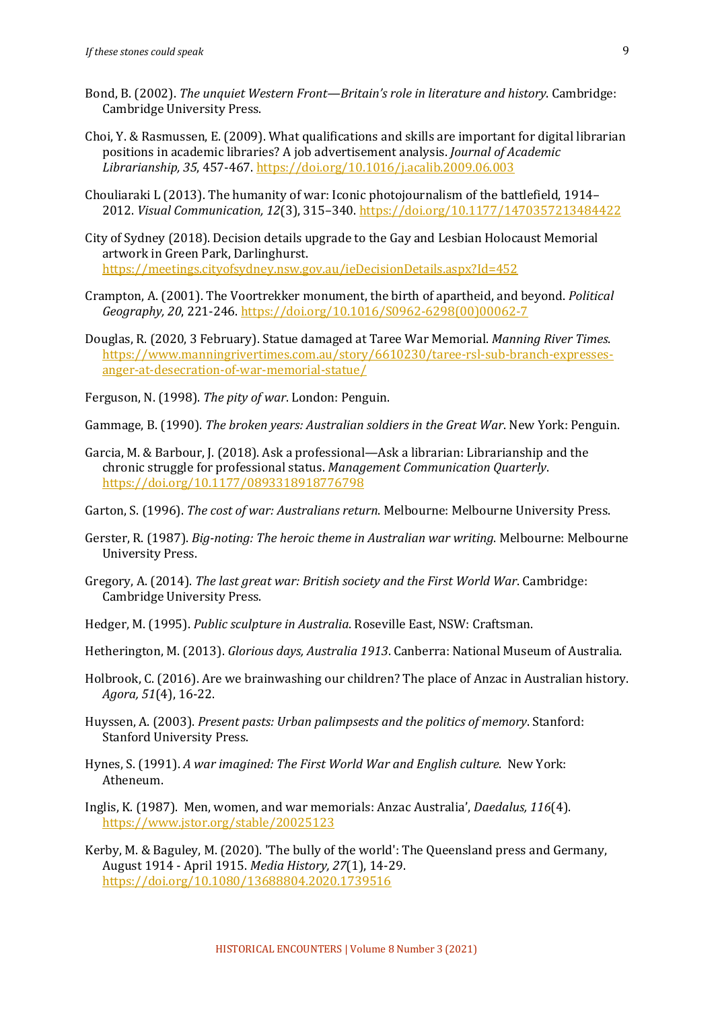- Bond, B. (2002). *The unquiet Western Front—Britain's role in literature and history*. Cambridge: Cambridge University Press.
- Choi, Y. & Rasmussen, E. (2009). What qualifications and skills are important for digital librarian positions in academic libraries? A job advertisement analysis. *Journal of Academic Librarianship, 35*, 457-467. https://doi.org/10.1016/j.acalib.2009.06.003
- Chouliaraki L (2013). The humanity of war: Iconic photojournalism of the battlefield,  $1914-$ 2012. *Visual Communication, 12*(3), 315-340. https://doi.org/10.1177/1470357213484422
- City of Sydney (2018). Decision details upgrade to the Gay and Lesbian Holocaust Memorial artwork in Green Park, Darlinghurst. https://meetings.cityofsydney.nsw.gov.au/ieDecisionDetails.aspx?Id=452
- Crampton, A. (2001). The Voortrekker monument, the birth of apartheid, and beyond. *Political Geography, 20*, 221-246. https://doi.org/10.1016/S0962-6298(00)00062-7
- Douglas, R. (2020, 3 February). Statue damaged at Taree War Memorial. *Manning River Times.* https://www.manningrivertimes.com.au/story/6610230/taree-rsl-sub-branch-expressesanger-at-desecration-of-war-memorial-statue/

Ferguson, N. (1998). *The pity of war*. London: Penguin.

Gammage, B. (1990). *The broken years: Australian soldiers in the Great War*. New York: Penguin.

Garcia, M. & Barbour, J. (2018). Ask a professional—Ask a librarian: Librarianship and the chronic struggle for professional status. *Management Communication Quarterly*. https://doi.org/10.1177/0893318918776798

Garton, S. (1996). *The cost of war: Australians return*. Melbourne: Melbourne University Press.

- Gerster, R. (1987). *Big-noting: The heroic theme in Australian war writing*. Melbourne: Melbourne University Press.
- Gregory, A. (2014). *The last great war: British society and the First World War*. Cambridge: Cambridge University Press.
- Hedger, M. (1995). *Public sculpture in Australia*. Roseville East. NSW: Craftsman.

Hetherington, M. (2013). *Glorious days, Australia 1913*. Canberra: National Museum of Australia.

- Holbrook, C. (2016). Are we brainwashing our children? The place of Anzac in Australian history. *Agora, 51*(4), 16-22.
- Huyssen, A. (2003). *Present pasts: Urban palimpsests and the politics of memory*. Stanford: Stanford University Press.
- Hynes, S. (1991). A war imagined: The First World War and English culture. New York: Atheneum.
- Inglis, K. (1987). Men, women, and war memorials: Anzac Australia', *Daedalus, 116*(4). https://www.jstor.org/stable/20025123
- Kerby, M. & Baguley, M. (2020). 'The bully of the world': The Queensland press and Germany, August 1914 - April 1915. *Media History, 27*(1), 14-29. https://doi.org/10.1080/13688804.2020.1739516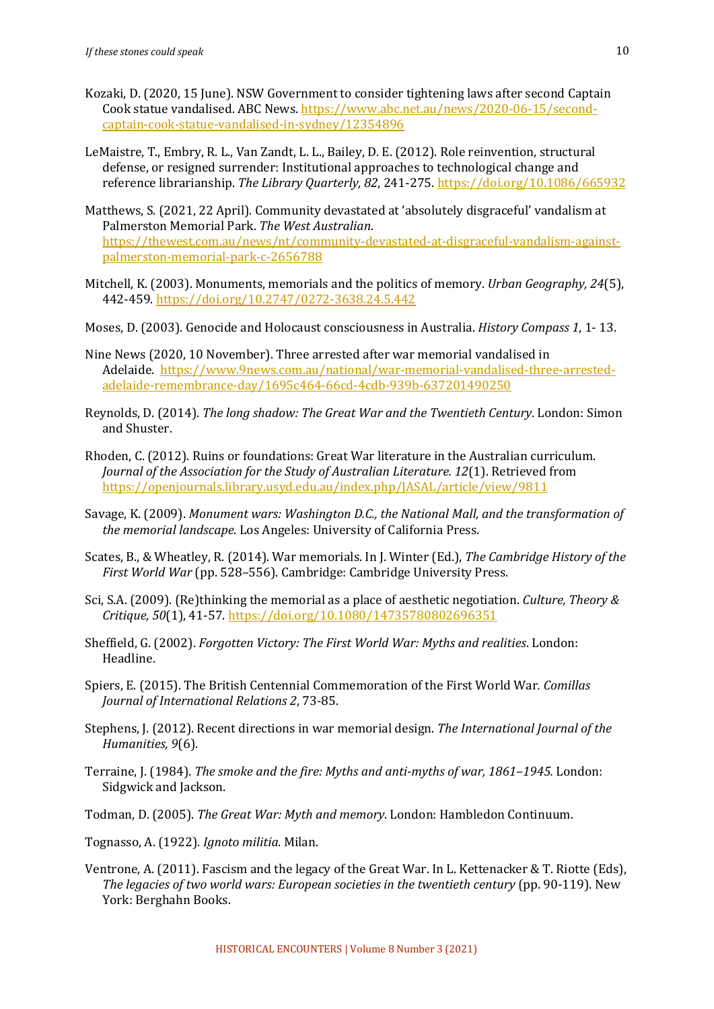- Kozaki, D. (2020, 15 June). NSW Government to consider tightening laws after second Captain Cook statue vandalised. ABC News. https://www.abc.net.au/news/2020-06-15/secondcaptain-cook-statue-vandalised-in-sydney/12354896
- LeMaistre, T., Embry, R. L., Van Zandt, L. L., Bailey, D. E. (2012). Role reinvention, structural defense, or resigned surrender: Institutional approaches to technological change and reference librarianship. The Library Quarterly, 82, 241-275. https://doi.org/10.1086/665932
- Matthews, S. (2021, 22 April). Community devastated at 'absolutely disgraceful' vandalism at Palmerston Memorial Park. *The West Australian*. https://thewest.com.au/news/nt/community-devastated-at-disgraceful-vandalism-againstpalmerston-memorial-park-c-2656788
- Mitchell, K. (2003). Monuments, memorials and the politics of memory. *Urban Geography, 24*(5), 442-459. https://doi.org/10.2747/0272-3638.24.5.442
- Moses, D. (2003). Genocide and Holocaust consciousness in Australia. *History Compass 1*, 1-13.
- Nine News (2020, 10 November). Three arrested after war memorial vandalised in Adelaide. https://www.9news.com.au/national/war-memorial-vandalised-three-arrestedadelaide-remembrance-day/1695c464-66cd-4cdb-939b-637201490250
- Reynolds, D. (2014). *The long shadow: The Great War and the Twentieth Century*. London: Simon and Shuster.
- Rhoden, C. (2012). Ruins or foundations: Great War literature in the Australian curriculum. *Journal of the Association for the Study of Australian Literature.* 12(1). Retrieved from https://openjournals.library.usyd.edu.au/index.php/JASAL/article/view/9811
- Savage, K. (2009). Monument wars: Washington D.C., the National Mall, and the transformation of *the memorial landscape*. Los Angeles: University of California Press.
- Scates, B., & Wheatley, R. (2014). War memorials. In J. Winter (Ed.), *The Cambridge History of the First World War* (pp. 528–556). Cambridge: Cambridge University Press.
- Sci, S.A. (2009). (Re)thinking the memorial as a place of aesthetic negotiation. *Culture, Theory & Critique, 50*(1), 41-57. https://doi.org/10.1080/14735780802696351
- Sheffield, G. (2002). *Forgotten Victory: The First World War: Myths and realities*. London: Headline.
- Spiers, E. (2015). The British Centennial Commemoration of the First World War. *Comillas Journal of International Relations 2, 73-85.*
- Stephens, J. (2012). Recent directions in war memorial design. *The International Journal of the Humanities, 9*(6).
- Terraine, J. (1984). *The smoke and the fire: Myths and anti-myths of war, 1861–1945.* London: Sidgwick and Jackson.
- Todman, D. (2005). *The Great War: Myth and memory*. London: Hambledon Continuum.
- Tognasso, A. (1922). *Ignoto militia*. Milan.
- Ventrone, A. (2011). Fascism and the legacy of the Great War. In L. Kettenacker & T. Riotte (Eds), *The legacies of two world wars: European societies in the twentieth century* (pp. 90-119). New York: Berghahn Books.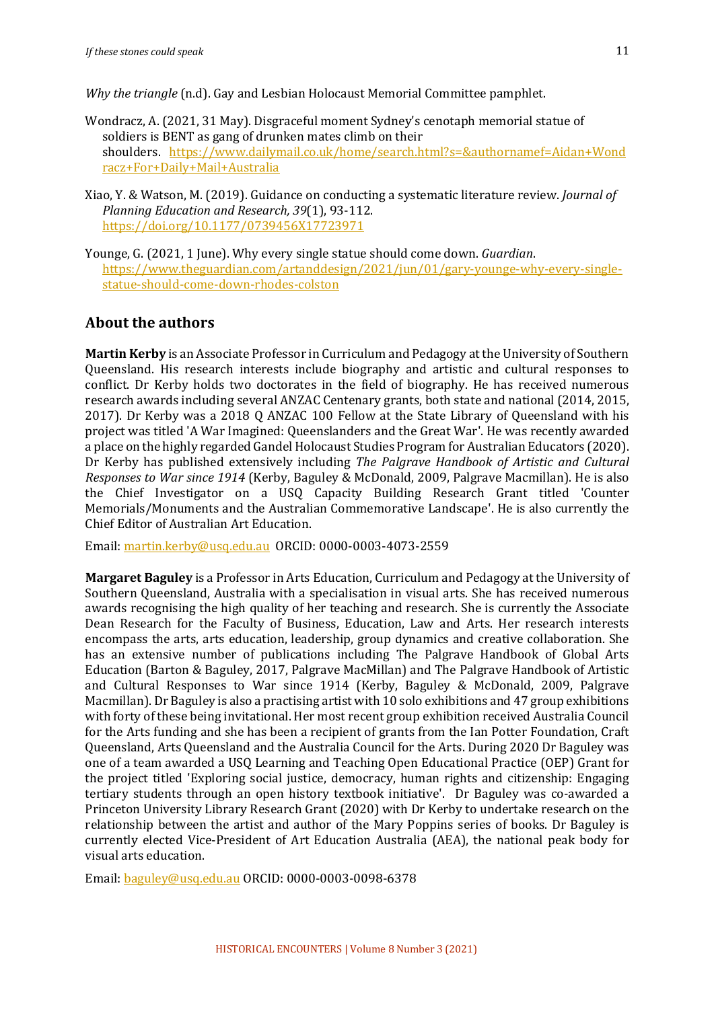*Why* the triangle (n.d). Gay and Lesbian Holocaust Memorial Committee pamphlet.

- Wondracz, A. (2021, 31 May). Disgraceful moment Sydney's cenotaph memorial statue of soldiers is BENT as gang of drunken mates climb on their shoulders. https://www.dailymail.co.uk/home/search.html?s=&authornamef=Aidan+Wond racz+For+Daily+Mail+Australia
- Xiao, Y. & Watson, M. (2019). Guidance on conducting a systematic literature review. *Journal of Planning Education and Research, 39*(1), 93-112. https://doi.org/10.1177/0739456X17723971
- Younge, G. (2021, 1 June). Why every single statue should come down. *Guardian*. https://www.theguardian.com/artanddesign/2021/jun/01/gary-younge-why-every-singlestatue-should-come-down-rhodes-colston

### **About the authors**

**Martin Kerby** is an Associate Professor in Curriculum and Pedagogy at the University of Southern Queensland. His research interests include biography and artistic and cultural responses to conflict. Dr Kerby holds two doctorates in the field of biography. He has received numerous research awards including several ANZAC Centenary grants, both state and national (2014, 2015, 2017). Dr Kerby was a 2018 Q ANZAC 100 Fellow at the State Library of Queensland with his project was titled 'A War Imagined: Queenslanders and the Great War'. He was recently awarded a place on the highly regarded Gandel Holocaust Studies Program for Australian Educators (2020). Dr Kerby has published extensively including *The Palgrave Handbook of Artistic and Cultural Responses to War since 1914* (Kerby, Baguley & McDonald, 2009, Palgrave Macmillan). He is also the Chief Investigator on a USQ Capacity Building Research Grant titled 'Counter Memorials/Monuments and the Australian Commemorative Landscape'. He is also currently the Chief Editor of Australian Art Education.

Email: martin.kerby@usq.edu.au ORCID: 0000-0003-4073-2559

**Margaret Baguley** is a Professor in Arts Education, Curriculum and Pedagogy at the University of Southern Queensland, Australia with a specialisation in visual arts. She has received numerous awards recognising the high quality of her teaching and research. She is currently the Associate Dean Research for the Faculty of Business, Education, Law and Arts. Her research interests encompass the arts, arts education, leadership, group dynamics and creative collaboration. She has an extensive number of publications including The Palgrave Handbook of Global Arts Education (Barton & Baguley, 2017, Palgrave MacMillan) and The Palgrave Handbook of Artistic and Cultural Responses to War since 1914 (Kerby, Baguley & McDonald, 2009, Palgrave Macmillan). Dr Baguley is also a practising artist with 10 solo exhibitions and 47 group exhibitions with forty of these being invitational. Her most recent group exhibition received Australia Council for the Arts funding and she has been a recipient of grants from the Ian Potter Foundation, Craft Queensland, Arts Queensland and the Australia Council for the Arts. During 2020 Dr Baguley was one of a team awarded a USQ Learning and Teaching Open Educational Practice (OEP) Grant for the project titled 'Exploring social justice, democracy, human rights and citizenship: Engaging tertiary students through an open history textbook initiative'. Dr Baguley was co-awarded a Princeton University Library Research Grant (2020) with Dr Kerby to undertake research on the relationship between the artist and author of the Mary Poppins series of books. Dr Baguley is currently elected Vice-President of Art Education Australia (AEA), the national peak body for visual arts education.

Email: baguley@usq.edu.au ORCID: 0000-0003-0098-6378